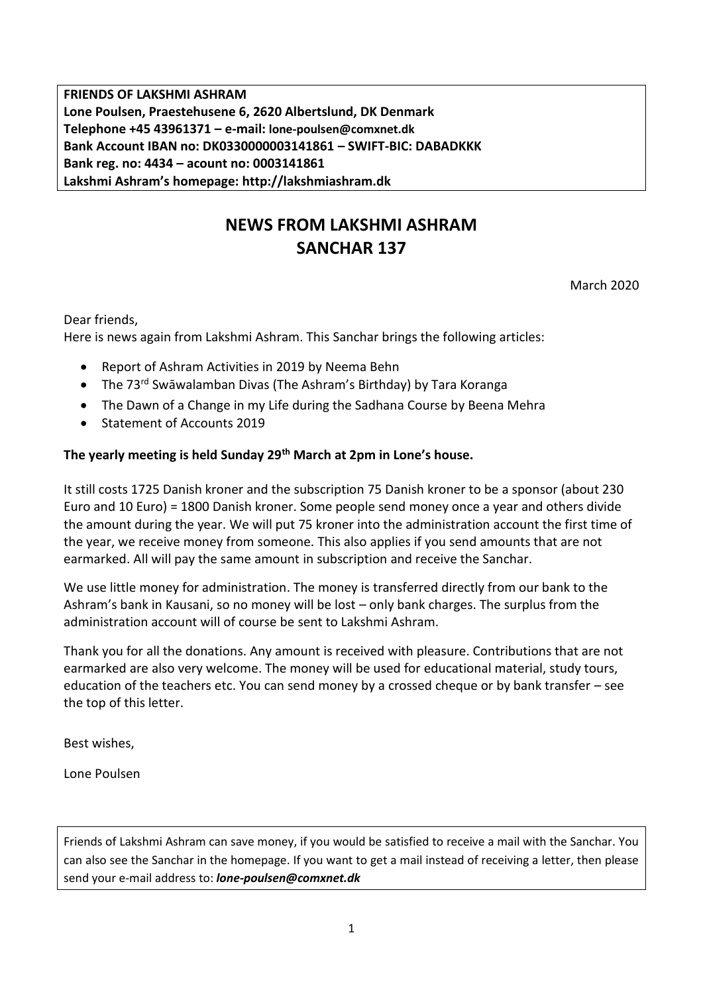**FRIENDS OF LAKSHMI ASHRAM Lone Poulsen, Praestehusene 6, 2620 Albertslund, DK Denmark Telephone +45 43961371 – e-mail: lone-poulsen@comxnet.dk Bank Account IBAN no: DK0330000003141861 – SWIFT-BIC: DABADKKK Bank reg. no: 4434 – acount no: 0003141861 Lakshmi Ashram's homepage: http://lakshmiashram.dk**

# **NEWS FROM LAKSHMI ASHRAM SANCHAR 137**

March 2020

Dear friends,

Here is news again from Lakshmi Ashram. This Sanchar brings the following articles:

- Report of Ashram Activities in 2019 by Neema Behn
- The 73<sup>rd</sup> Swāwalamban Divas (The Ashram's Birthday) by Tara Koranga
- The Dawn of a Change in my Life during the Sadhana Course by Beena Mehra
- Statement of Accounts 2019

### **The yearly meeting is held Sunday 29th March at 2pm in Lone's house.**

It still costs 1725 Danish kroner and the subscription 75 Danish kroner to be a sponsor (about 230 Euro and 10 Euro) = 1800 Danish kroner. Some people send money once a year and others divide the amount during the year. We will put 75 kroner into the administration account the first time of the year, we receive money from someone. This also applies if you send amounts that are not earmarked. All will pay the same amount in subscription and receive the Sanchar.

We use little money for administration. The money is transferred directly from our bank to the Ashram's bank in Kausani, so no money will be lost – only bank charges. The surplus from the administration account will of course be sent to Lakshmi Ashram.

Thank you for all the donations. Any amount is received with pleasure. Contributions that are not earmarked are also very welcome. The money will be used for educational material, study tours, education of the teachers etc. You can send money by a crossed cheque or by bank transfer – see the top of this letter.

Best wishes,

Lone Poulsen

Friends of Lakshmi Ashram can save money, if you would be satisfied to receive a mail with the Sanchar. You can also see the Sanchar in the homepage. If you want to get a mail instead of receiving a letter, then please send your e-mail address to: *lone-poulsen@comxnet.dk*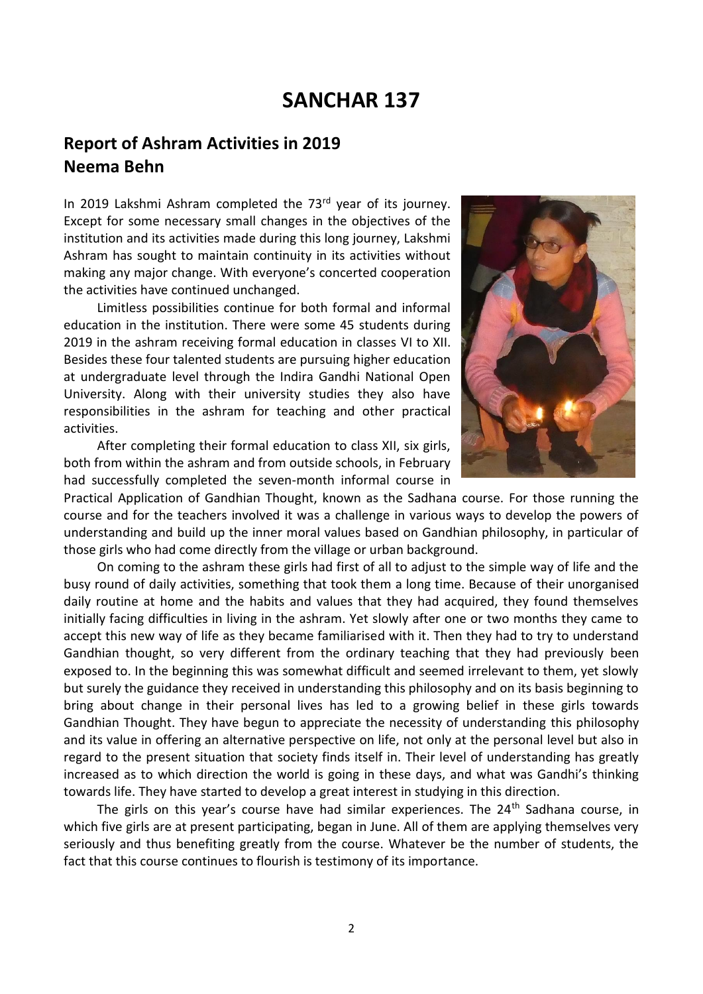# **SANCHAR 137**

## **Report of Ashram Activities in 2019 Neema Behn**

In 2019 Lakshmi Ashram completed the 73<sup>rd</sup> year of its journey. Except for some necessary small changes in the objectives of the institution and its activities made during this long journey, Lakshmi Ashram has sought to maintain continuity in its activities without making any major change. With everyone's concerted cooperation the activities have continued unchanged.

Limitless possibilities continue for both formal and informal education in the institution. There were some 45 students during 2019 in the ashram receiving formal education in classes VI to XII. Besides these four talented students are pursuing higher education at undergraduate level through the Indira Gandhi National Open University. Along with their university studies they also have responsibilities in the ashram for teaching and other practical activities.

After completing their formal education to class XII, six girls, both from within the ashram and from outside schools, in February had successfully completed the seven-month informal course in



Practical Application of Gandhian Thought, known as the Sadhana course. For those running the course and for the teachers involved it was a challenge in various ways to develop the powers of understanding and build up the inner moral values based on Gandhian philosophy, in particular of those girls who had come directly from the village or urban background.

On coming to the ashram these girls had first of all to adjust to the simple way of life and the busy round of daily activities, something that took them a long time. Because of their unorganised daily routine at home and the habits and values that they had acquired, they found themselves initially facing difficulties in living in the ashram. Yet slowly after one or two months they came to accept this new way of life as they became familiarised with it. Then they had to try to understand Gandhian thought, so very different from the ordinary teaching that they had previously been exposed to. In the beginning this was somewhat difficult and seemed irrelevant to them, yet slowly but surely the guidance they received in understanding this philosophy and on its basis beginning to bring about change in their personal lives has led to a growing belief in these girls towards Gandhian Thought. They have begun to appreciate the necessity of understanding this philosophy and its value in offering an alternative perspective on life, not only at the personal level but also in regard to the present situation that society finds itself in. Their level of understanding has greatly increased as to which direction the world is going in these days, and what was Gandhi's thinking towards life. They have started to develop a great interest in studying in this direction.

The girls on this year's course have had similar experiences. The 24<sup>th</sup> Sadhana course, in which five girls are at present participating, began in June. All of them are applying themselves very seriously and thus benefiting greatly from the course. Whatever be the number of students, the fact that this course continues to flourish is testimony of its importance.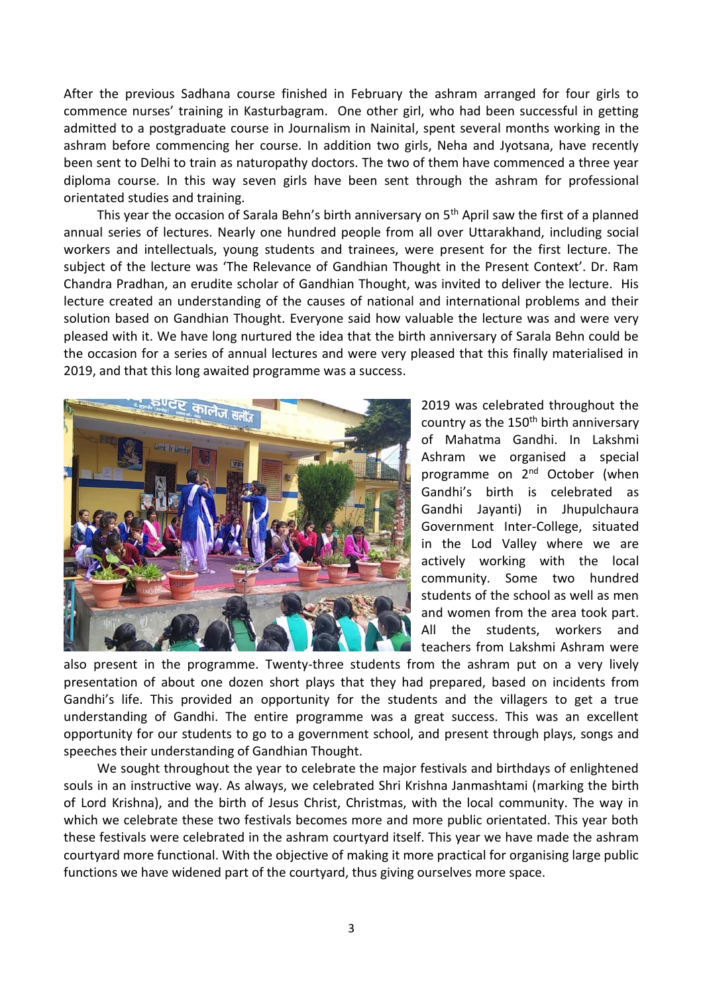After the previous Sadhana course finished in February the ashram arranged for four girls to commence nurses' training in Kasturbagram. One other girl, who had been successful in getting admitted to a postgraduate course in Journalism in Nainital, spent several months working in the ashram before commencing her course. In addition two girls, Neha and Jyotsana, have recently been sent to Delhi to train as naturopathy doctors. The two of them have commenced a three year diploma course. In this way seven girls have been sent through the ashram for professional orientated studies and training.

This year the occasion of Sarala Behn's birth anniversary on 5<sup>th</sup> April saw the first of a planned annual series of lectures. Nearly one hundred people from all over Uttarakhand, including social workers and intellectuals, young students and trainees, were present for the first lecture. The subject of the lecture was 'The Relevance of Gandhian Thought in the Present Context'. Dr. Ram Chandra Pradhan, an erudite scholar of Gandhian Thought, was invited to deliver the lecture. His lecture created an understanding of the causes of national and international problems and their solution based on Gandhian Thought. Everyone said how valuable the lecture was and were very pleased with it. We have long nurtured the idea that the birth anniversary of Sarala Behn could be the occasion for a series of annual lectures and were very pleased that this finally materialised in 2019, and that this long awaited programme was a success.



2019 was celebrated throughout the country as the 150<sup>th</sup> birth anniversary of Mahatma Gandhi. In Lakshmi Ashram we organised a special programme on 2<sup>nd</sup> October (when Gandhi's birth is celebrated as Gandhi Jayanti) in Jhupulchaura Government Inter-College, situated in the Lod Valley where we are actively working with the local community. Some two hundred students of the school as well as men and women from the area took part. All the students, workers and teachers from Lakshmi Ashram were

also present in the programme. Twenty-three students from the ashram put on a very lively presentation of about one dozen short plays that they had prepared, based on incidents from Gandhi's life. This provided an opportunity for the students and the villagers to get a true understanding of Gandhi. The entire programme was a great success. This was an excellent opportunity for our students to go to a government school, and present through plays, songs and speeches their understanding of Gandhian Thought.

We sought throughout the year to celebrate the major festivals and birthdays of enlightened souls in an instructive way. As always, we celebrated Shri Krishna Janmashtami (marking the birth of Lord Krishna), and the birth of Jesus Christ, Christmas, with the local community. The way in which we celebrate these two festivals becomes more and more public orientated. This year both these festivals were celebrated in the ashram courtyard itself. This year we have made the ashram courtyard more functional. With the objective of making it more practical for organising large public functions we have widened part of the courtyard, thus giving ourselves more space.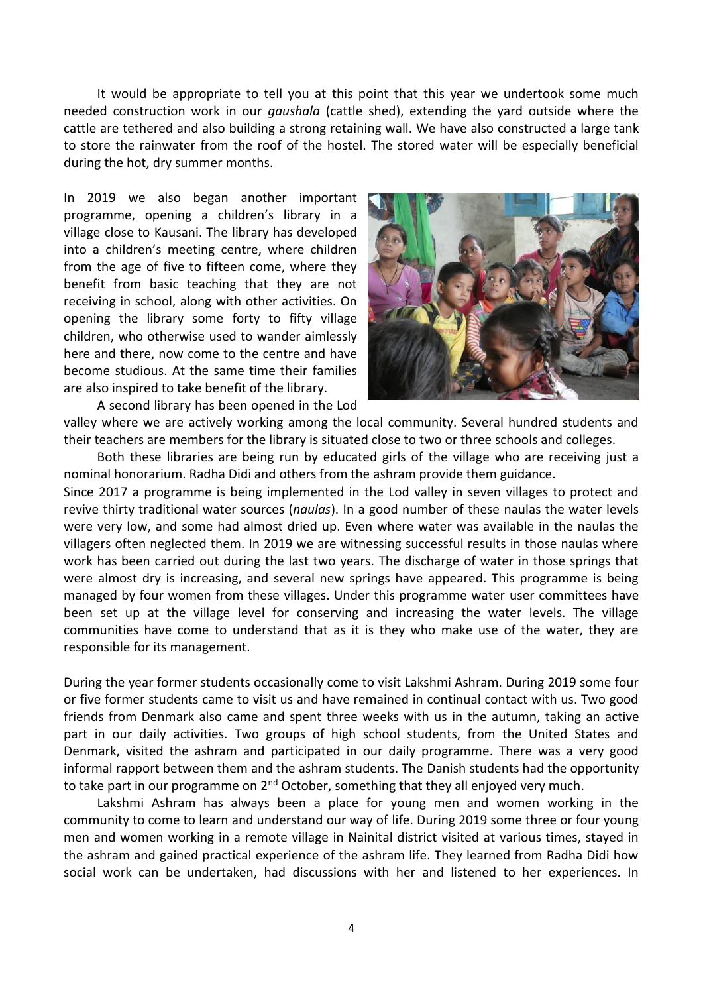It would be appropriate to tell you at this point that this year we undertook some much needed construction work in our *gaushala* (cattle shed), extending the yard outside where the cattle are tethered and also building a strong retaining wall. We have also constructed a large tank to store the rainwater from the roof of the hostel. The stored water will be especially beneficial during the hot, dry summer months.

In 2019 we also began another important programme, opening a children's library in a village close to Kausani. The library has developed into a children's meeting centre, where children from the age of five to fifteen come, where they benefit from basic teaching that they are not receiving in school, along with other activities. On opening the library some forty to fifty village children, who otherwise used to wander aimlessly here and there, now come to the centre and have become studious. At the same time their families are also inspired to take benefit of the library.

A second library has been opened in the Lod



valley where we are actively working among the local community. Several hundred students and their teachers are members for the library is situated close to two or three schools and colleges.

Both these libraries are being run by educated girls of the village who are receiving just a nominal honorarium. Radha Didi and others from the ashram provide them guidance.

Since 2017 a programme is being implemented in the Lod valley in seven villages to protect and revive thirty traditional water sources (*naulas*). In a good number of these naulas the water levels were very low, and some had almost dried up. Even where water was available in the naulas the villagers often neglected them. In 2019 we are witnessing successful results in those naulas where work has been carried out during the last two years. The discharge of water in those springs that were almost dry is increasing, and several new springs have appeared. This programme is being managed by four women from these villages. Under this programme water user committees have been set up at the village level for conserving and increasing the water levels. The village communities have come to understand that as it is they who make use of the water, they are responsible for its management.

During the year former students occasionally come to visit Lakshmi Ashram. During 2019 some four or five former students came to visit us and have remained in continual contact with us. Two good friends from Denmark also came and spent three weeks with us in the autumn, taking an active part in our daily activities. Two groups of high school students, from the United States and Denmark, visited the ashram and participated in our daily programme. There was a very good informal rapport between them and the ashram students. The Danish students had the opportunity to take part in our programme on 2<sup>nd</sup> October, something that they all enjoyed very much.

Lakshmi Ashram has always been a place for young men and women working in the community to come to learn and understand our way of life. During 2019 some three or four young men and women working in a remote village in Nainital district visited at various times, stayed in the ashram and gained practical experience of the ashram life. They learned from Radha Didi how social work can be undertaken, had discussions with her and listened to her experiences. In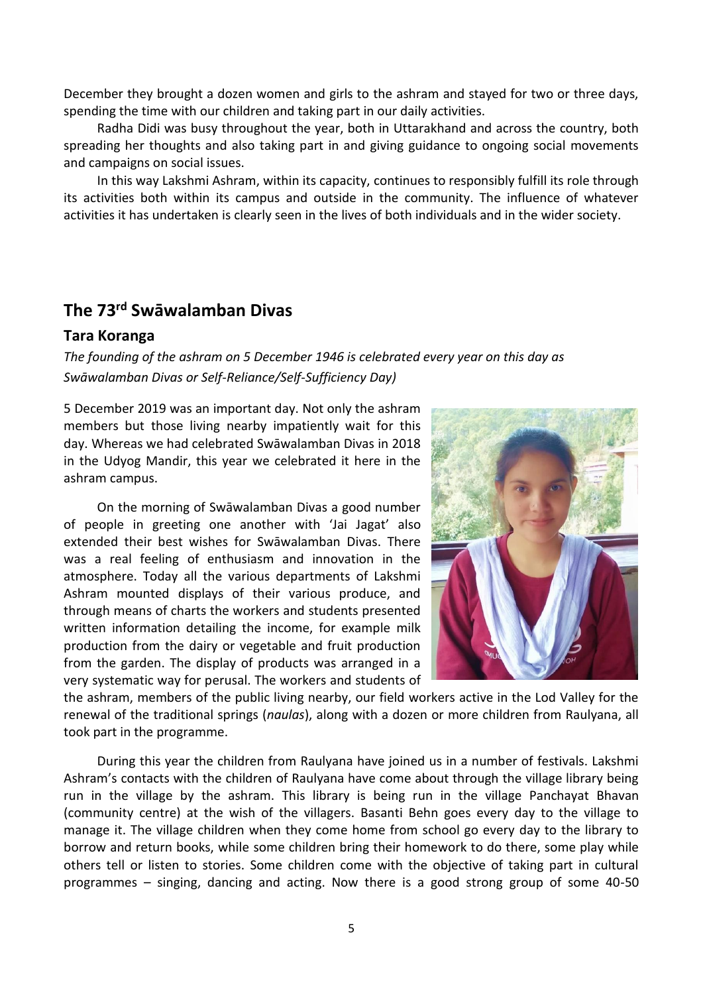December they brought a dozen women and girls to the ashram and stayed for two or three days, spending the time with our children and taking part in our daily activities.

Radha Didi was busy throughout the year, both in Uttarakhand and across the country, both spreading her thoughts and also taking part in and giving guidance to ongoing social movements and campaigns on social issues.

In this way Lakshmi Ashram, within its capacity, continues to responsibly fulfill its role through its activities both within its campus and outside in the community. The influence of whatever activities it has undertaken is clearly seen in the lives of both individuals and in the wider society.

# **The 73 rd Swāwalamban Divas**

#### **Tara Koranga**

*The founding of the ashram on 5 December 1946 is celebrated every year on this day as Swāwalamban Divas or Self-Reliance/Self-Sufficiency Day)*

5 December 2019 was an important day. Not only the ashram members but those living nearby impatiently wait for this day. Whereas we had celebrated Swāwalamban Divas in 2018 in the Udyog Mandir, this year we celebrated it here in the ashram campus.

On the morning of Swāwalamban Divas a good number of people in greeting one another with 'Jai Jagat' also extended their best wishes for Swāwalamban Divas. There was a real feeling of enthusiasm and innovation in the atmosphere. Today all the various departments of Lakshmi Ashram mounted displays of their various produce, and through means of charts the workers and students presented written information detailing the income, for example milk production from the dairy or vegetable and fruit production from the garden. The display of products was arranged in a very systematic way for perusal. The workers and students of



the ashram, members of the public living nearby, our field workers active in the Lod Valley for the renewal of the traditional springs (*naulas*), along with a dozen or more children from Raulyana, all took part in the programme.

During this year the children from Raulyana have joined us in a number of festivals. Lakshmi Ashram's contacts with the children of Raulyana have come about through the village library being run in the village by the ashram. This library is being run in the village Panchayat Bhavan (community centre) at the wish of the villagers. Basanti Behn goes every day to the village to manage it. The village children when they come home from school go every day to the library to borrow and return books, while some children bring their homework to do there, some play while others tell or listen to stories. Some children come with the objective of taking part in cultural programmes – singing, dancing and acting. Now there is a good strong group of some 40-50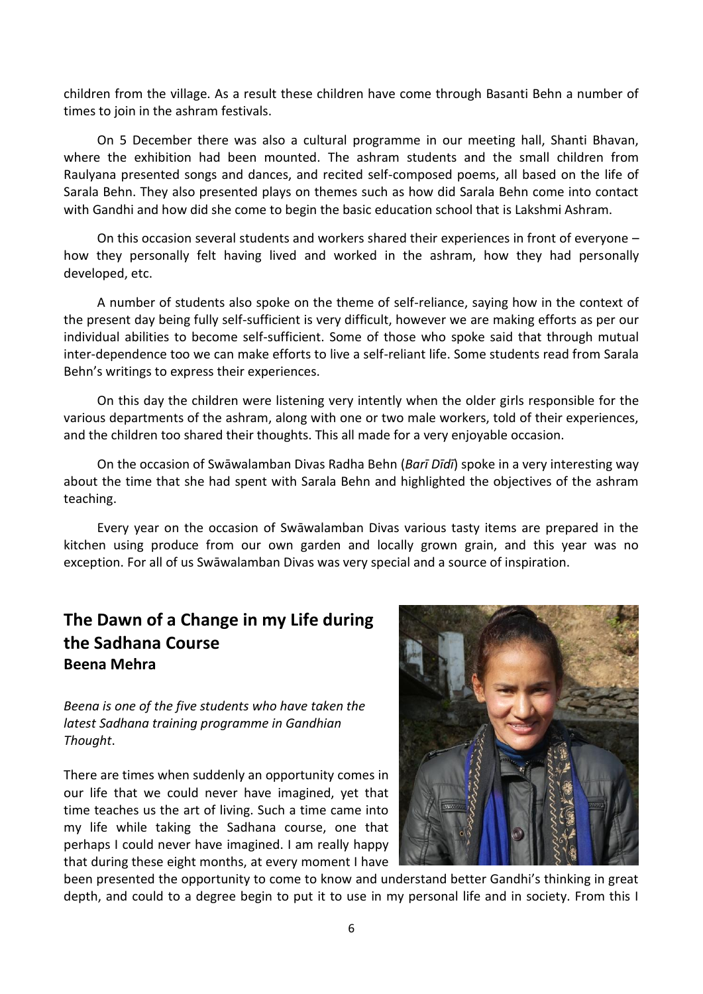children from the village. As a result these children have come through Basanti Behn a number of times to join in the ashram festivals.

On 5 December there was also a cultural programme in our meeting hall, Shanti Bhavan, where the exhibition had been mounted. The ashram students and the small children from Raulyana presented songs and dances, and recited self-composed poems, all based on the life of Sarala Behn. They also presented plays on themes such as how did Sarala Behn come into contact with Gandhi and how did she come to begin the basic education school that is Lakshmi Ashram.

On this occasion several students and workers shared their experiences in front of everyone – how they personally felt having lived and worked in the ashram, how they had personally developed, etc.

A number of students also spoke on the theme of self-reliance, saying how in the context of the present day being fully self-sufficient is very difficult, however we are making efforts as per our individual abilities to become self-sufficient. Some of those who spoke said that through mutual inter-dependence too we can make efforts to live a self-reliant life. Some students read from Sarala Behn's writings to express their experiences.

On this day the children were listening very intently when the older girls responsible for the various departments of the ashram, along with one or two male workers, told of their experiences, and the children too shared their thoughts. This all made for a very enjoyable occasion.

On the occasion of Swāwalamban Divas Radha Behn (*Barī Dīdī*) spoke in a very interesting way about the time that she had spent with Sarala Behn and highlighted the objectives of the ashram teaching.

Every year on the occasion of Swāwalamban Divas various tasty items are prepared in the kitchen using produce from our own garden and locally grown grain, and this year was no exception. For all of us Swāwalamban Divas was very special and a source of inspiration.

# **The Dawn of a Change in my Life during the Sadhana Course Beena Mehra**

*Beena is one of the five students who have taken the latest Sadhana training programme in Gandhian Thought*.

There are times when suddenly an opportunity comes in our life that we could never have imagined, yet that time teaches us the art of living. Such a time came into my life while taking the Sadhana course, one that perhaps I could never have imagined. I am really happy that during these eight months, at every moment I have



been presented the opportunity to come to know and understand better Gandhi's thinking in great depth, and could to a degree begin to put it to use in my personal life and in society. From this I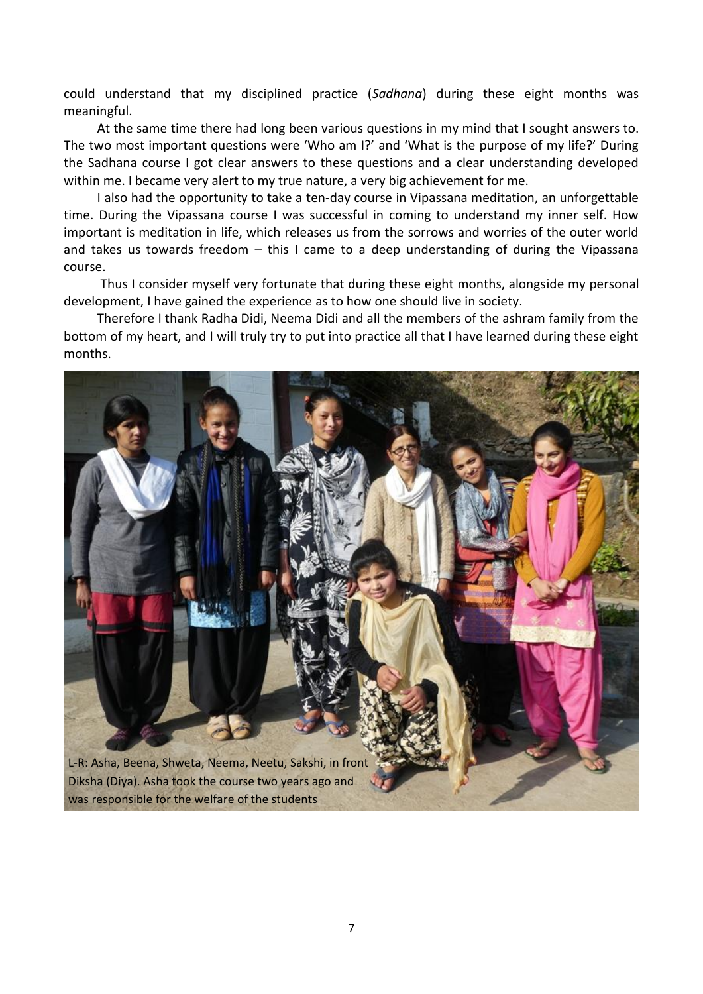could understand that my disciplined practice (*Sadhana*) during these eight months was meaningful.

At the same time there had long been various questions in my mind that I sought answers to. The two most important questions were 'Who am I?' and 'What is the purpose of my life?' During the Sadhana course I got clear answers to these questions and a clear understanding developed within me. I became very alert to my true nature, a very big achievement for me.

I also had the opportunity to take a ten-day course in Vipassana meditation, an unforgettable time. During the Vipassana course I was successful in coming to understand my inner self. How important is meditation in life, which releases us from the sorrows and worries of the outer world and takes us towards freedom – this I came to a deep understanding of during the Vipassana course.

Thus I consider myself very fortunate that during these eight months, alongside my personal development, I have gained the experience as to how one should live in society.

Therefore I thank Radha Didi, Neema Didi and all the members of the ashram family from the bottom of my heart, and I will truly try to put into practice all that I have learned during these eight months.